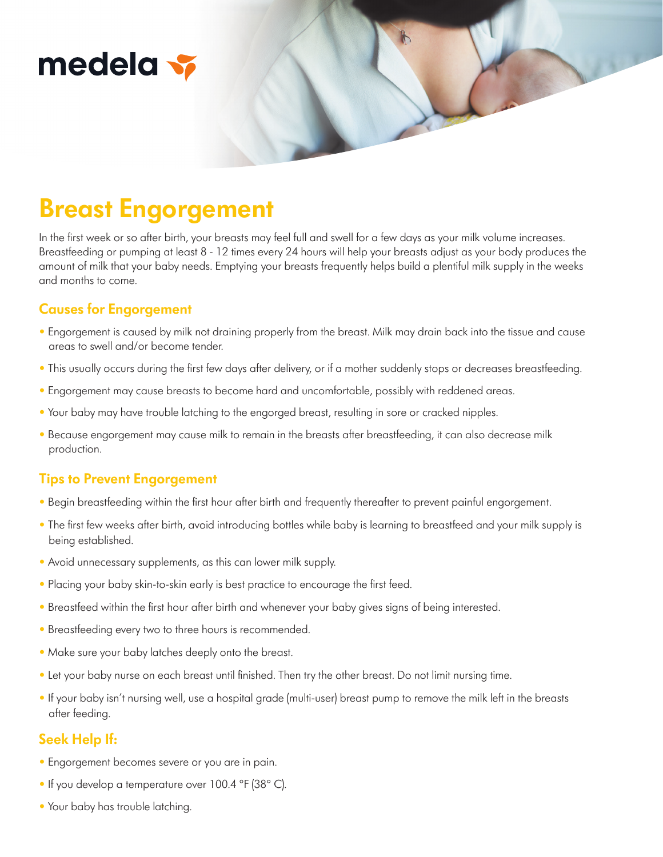# medela v

## **Breast Engorgement**

In the first week or so after birth, your breasts may feel full and swell for a few days as your milk volume increases. Breastfeeding or pumping at least 8 - 12 times every 24 hours will help your breasts adjust as your body produces the amount of milk that your baby needs. Emptying your breasts frequently helps build a plentiful milk supply in the weeks and months to come.

### **Causes for Engorgement**

- Engorgement is caused by milk not draining properly from the breast. Milk may drain back into the tissue and cause areas to swell and/or become tender.
- This usually occurs during the first few days after delivery, or if a mother suddenly stops or decreases breastfeeding.
- Engorgement may cause breasts to become hard and uncomfortable, possibly with reddened areas.
- Your baby may have trouble latching to the engorged breast, resulting in sore or cracked nipples.
- Because engorgement may cause milk to remain in the breasts after breastfeeding, it can also decrease milk production.

#### **Tips to Prevent Engorgement**

- Begin breastfeeding within the first hour after birth and frequently thereafter to prevent painful engorgement.
- The first few weeks after birth, avoid introducing bottles while baby is learning to breastfeed and your milk supply is being established.
- Avoid unnecessary supplements, as this can lower milk supply.
- Placing your baby skin-to-skin early is best practice to encourage the first feed.
- Breastfeed within the first hour after birth and whenever your baby gives signs of being interested.
- Breastfeeding every two to three hours is recommended.
- Make sure your baby latches deeply onto the breast.
- Let your baby nurse on each breast until finished. Then try the other breast. Do not limit nursing time.
- If your baby isn't nursing well, use a hospital grade (multi-user) breast pump to remove the milk left in the breasts after feeding.

#### **Seek Help If:**

- Engorgement becomes severe or you are in pain.
- If you develop a temperature over 100.4 ºF (38º C).
- Your baby has trouble latching.